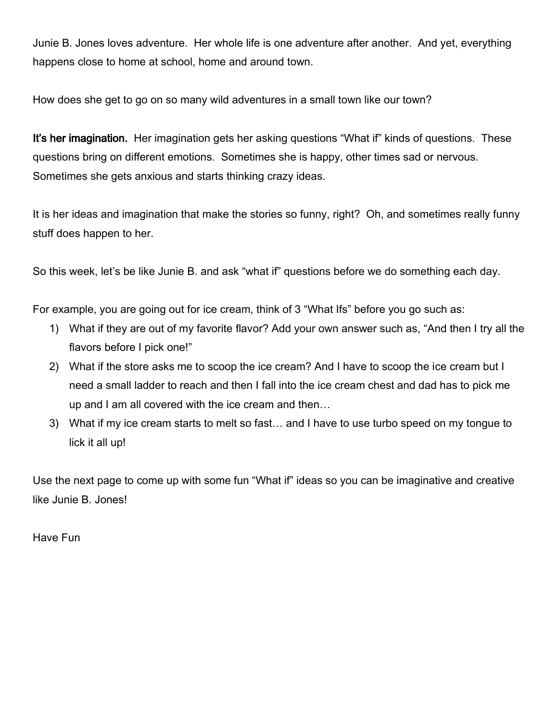Junie B. Jones loves adventure. Her whole life is one adventure after another. And yet, everything happens close to home at school, home and around town.

How does she get to go on so many wild adventures in a small town like our town?

It's her imagination. Her imagination gets her asking questions "What if" kinds of questions. These questions bring on different emotions. Sometimes she is happy, other times sad or nervous. Sometimes she gets anxious and starts thinking crazy ideas.

It is her ideas and imagination that make the stories so funny, right? Oh, and sometimes really funny stuff does happen to her.

So this week, let's be like Junie B. and ask "what if" questions before we do something each day.

For example, you are going out for ice cream, think of 3 "What Ifs" before you go such as:

- 1) What if they are out of my favorite flavor? Add your own answer such as, "And then I try all the flavors before I pick one!"
- 2) What if the store asks me to scoop the ice cream? And I have to scoop the ice cream but I need a small ladder to reach and then I fall into the ice cream chest and dad has to pick me up and I am all covered with the ice cream and then…
- 3) What if my ice cream starts to melt so fast… and I have to use turbo speed on my tongue to lick it all up!

Use the next page to come up with some fun "What if" ideas so you can be imaginative and creative like Junie B. Jones!

Have Fun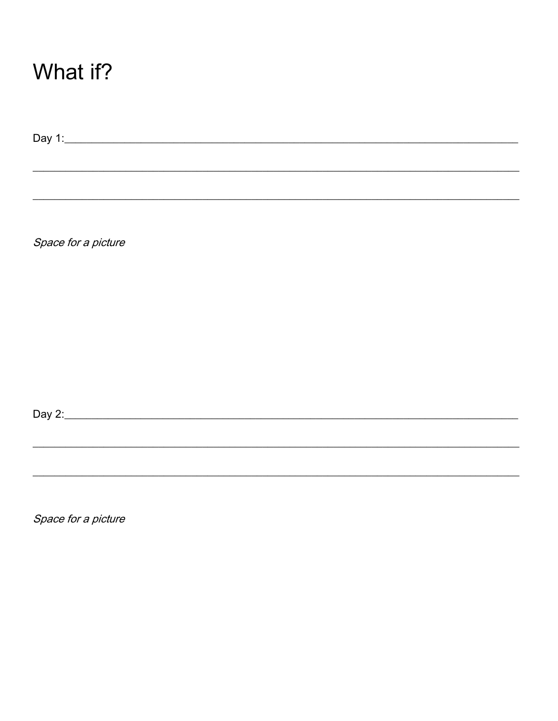## What if?

Space for a picture

Space for a picture